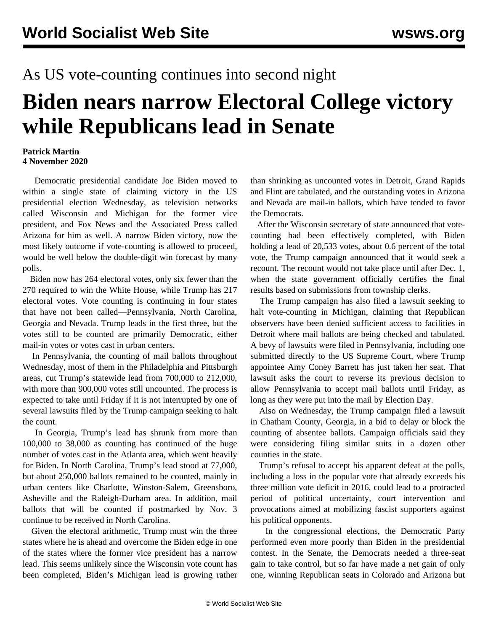## As US vote-counting continues into second night

## **Biden nears narrow Electoral College victory while Republicans lead in Senate**

## **Patrick Martin 4 November 2020**

 Democratic presidential candidate Joe Biden moved to within a single state of claiming victory in the US presidential election Wednesday, as television networks called Wisconsin and Michigan for the former vice president, and Fox News and the Associated Press called Arizona for him as well. A narrow Biden victory, now the most likely outcome if vote-counting is allowed to proceed, would be well below the double-digit win forecast by many polls.

 Biden now has 264 electoral votes, only six fewer than the 270 required to win the White House, while Trump has 217 electoral votes. Vote counting is continuing in four states that have not been called—Pennsylvania, North Carolina, Georgia and Nevada. Trump leads in the first three, but the votes still to be counted are primarily Democratic, either mail-in votes or votes cast in urban centers.

 In Pennsylvania, the counting of mail ballots throughout Wednesday, most of them in the Philadelphia and Pittsburgh areas, cut Trump's statewide lead from 700,000 to 212,000, with more than 900,000 votes still uncounted. The process is expected to take until Friday if it is not interrupted by one of several lawsuits filed by the Trump campaign seeking to halt the count.

 In Georgia, Trump's lead has shrunk from more than 100,000 to 38,000 as counting has continued of the huge number of votes cast in the Atlanta area, which went heavily for Biden. In North Carolina, Trump's lead stood at 77,000, but about 250,000 ballots remained to be counted, mainly in urban centers like Charlotte, Winston-Salem, Greensboro, Asheville and the Raleigh-Durham area. In addition, mail ballots that will be counted if postmarked by Nov. 3 continue to be received in North Carolina.

 Given the electoral arithmetic, Trump must win the three states where he is ahead and overcome the Biden edge in one of the states where the former vice president has a narrow lead. This seems unlikely since the Wisconsin vote count has been completed, Biden's Michigan lead is growing rather than shrinking as uncounted votes in Detroit, Grand Rapids and Flint are tabulated, and the outstanding votes in Arizona and Nevada are mail-in ballots, which have tended to favor the Democrats.

 After the Wisconsin secretary of state announced that votecounting had been effectively completed, with Biden holding a lead of 20,533 votes, about 0.6 percent of the total vote, the Trump campaign announced that it would seek a recount. The recount would not take place until after Dec. 1, when the state government officially certifies the final results based on submissions from township clerks.

 The Trump campaign has also filed a lawsuit seeking to halt vote-counting in Michigan, claiming that Republican observers have been denied sufficient access to facilities in Detroit where mail ballots are being checked and tabulated. A bevy of lawsuits were filed in Pennsylvania, including one submitted directly to the US Supreme Court, where Trump appointee Amy Coney Barrett has just taken her seat. That lawsuit asks the court to reverse its previous decision to allow Pennsylvania to accept mail ballots until Friday, as long as they were put into the mail by Election Day.

 Also on Wednesday, the Trump campaign filed a lawsuit in Chatham County, Georgia, in a bid to delay or block the counting of absentee ballots. Campaign officials said they were considering filing similar suits in a dozen other counties in the state.

 Trump's refusal to accept his apparent defeat at the polls, including a loss in the popular vote that already exceeds his three million vote deficit in 2016, could lead to a protracted period of political uncertainty, court intervention and provocations aimed at mobilizing fascist supporters against his political opponents.

 In the congressional elections, the Democratic Party performed even more poorly than Biden in the presidential contest. In the Senate, the Democrats needed a three-seat gain to take control, but so far have made a net gain of only one, winning Republican seats in Colorado and Arizona but